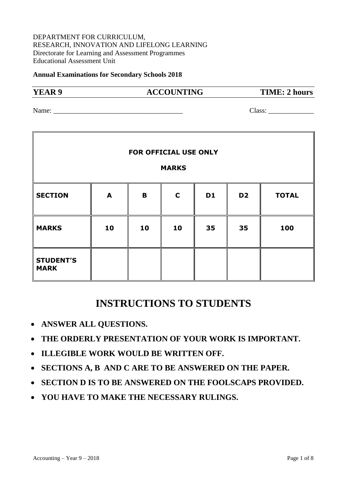#### DEPARTMENT FOR CURRICULUM, RESEARCH, INNOVATION AND LIFELONG LEARNING Directorate for Learning and Assessment Programmes Educational Assessment Unit

#### **Annual Examinations for Secondary Schools 2018**

#### **YEAR 9 ACCOUNTING TIME: 2 hours**

Name: Class:

| FOR OFFICIAL USE ONLY           |    |    |             |           |                |              |
|---------------------------------|----|----|-------------|-----------|----------------|--------------|
| <b>MARKS</b>                    |    |    |             |           |                |              |
| <b>SECTION</b>                  | A  | B  | $\mathbf C$ | <b>D1</b> | D <sub>2</sub> | <b>TOTAL</b> |
| <b>MARKS</b>                    | 10 | 10 | 10          | 35        | 35             | 100          |
| <b>STUDENT'S</b><br><b>MARK</b> |    |    |             |           |                |              |

# **INSTRUCTIONS TO STUDENTS**

- **ANSWER ALL QUESTIONS.**
- **THE ORDERLY PRESENTATION OF YOUR WORK IS IMPORTANT.**
- **ILLEGIBLE WORK WOULD BE WRITTEN OFF.**
- **SECTIONS A, B AND C ARE TO BE ANSWERED ON THE PAPER.**
- **SECTION D IS TO BE ANSWERED ON THE FOOLSCAPS PROVIDED.**
- **YOU HAVE TO MAKE THE NECESSARY RULINGS.**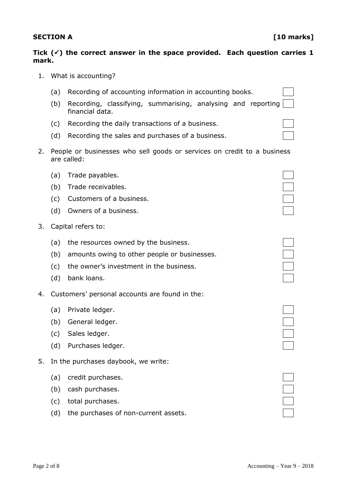### Tick  $(\check{\phantom{\phi}})$  the correct answer in the space provided. Each question carries 1 **mark.**

- 1. What is accounting?
	- (a) Recording of accounting information in accounting books.
	- (b) Recording, classifying, summarising, analysing and reporting financial data.
	- (c) Recording the daily transactions of a business.
	- (d) Recording the sales and purchases of a business.
- 2. People or businesses who sell goods or services on credit to a business are called:
	- (a) Trade payables. (b) Trade receivables. (c) Customers of a business. (d) Owners of a business.
- 3. Capital refers to:
	- (a) the resources owned by the business.
		- (b) amounts owing to other people or businesses.
		- (c) the owner's investment in the business.
		- (d) bank loans.
- 4. Customers' personal accounts are found in the:
	- (a) Private ledger.
	- (b) General ledger.
	- (c) Sales ledger.
	- (d) Purchases ledger.
- 5. In the purchases daybook, we write:
	- (a) credit purchases.
	- (b) cash purchases.
	- (c) total purchases.
	- (d) the purchases of non-current assets.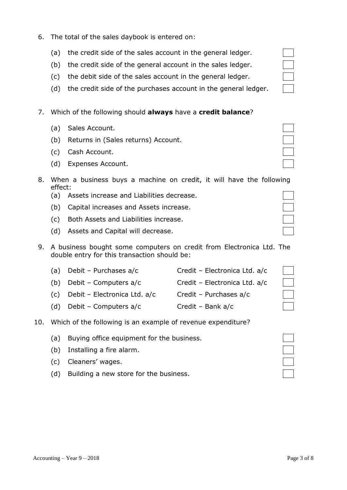- 6. The total of the sales daybook is entered on:
	- (a) the credit side of the sales account in the general ledger.
	- (b) the credit side of the general account in the sales ledger.
	- (c) the debit side of the sales account in the general ledger.
	- (d) the credit side of the purchases account in the general ledger.
- 7. Which of the following should **always** have a **credit balance**?
	- (a) Sales Account.
	- (b) Returns in (Sales returns) Account.
	- (c) Cash Account.
	- (d) Expenses Account.
- 8. When a business buys a machine on credit, it will have the follow effect:
	- (a) Assets increase and Liabilities decrease.
	- (b) Capital increases and Assets increase.
	- (c) Both Assets and Liabilities increase.
	- (d) Assets and Capital will decrease.
- 9. A business bought some computers on credit from Electronica Ltd. The double entry for this transaction should be:

| (a) | Debit - Purchases a/c        | Credit - Electronica Ltd. a/c |                                  |
|-----|------------------------------|-------------------------------|----------------------------------|
| (b) | Debit - Computers a/c        | Credit - Electronica Ltd. a/c | $\begin{array}{ccc} \end{array}$ |
| (C) | Debit - Electronica Ltd. a/c | Credit - Purchases a/c        |                                  |
| (d) | Debit - Computers a/c        | Credit - Bank $a/c$           |                                  |

### 10. Which of the following is an example of revenue expenditure?

- (a) Buying office equipment for the business.
- (b) Installing a fire alarm.
- (c) Cleaners' wages.
- (d) Building a new store for the business.

| ing |  |
|-----|--|
|     |  |
|     |  |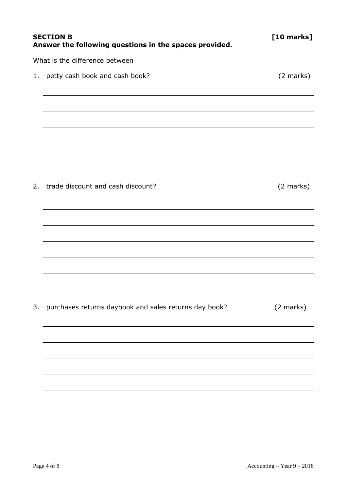|                                | <b>SECTION B</b><br>Answer the following questions in the spaces provided. | [10 marks]          |  |  |
|--------------------------------|----------------------------------------------------------------------------|---------------------|--|--|
| What is the difference between |                                                                            |                     |  |  |
| 1.                             | petty cash book and cash book?                                             | (2 marks)           |  |  |
|                                |                                                                            |                     |  |  |
|                                |                                                                            |                     |  |  |
|                                |                                                                            |                     |  |  |
|                                | 2. trade discount and cash discount?                                       | (2 marks)           |  |  |
|                                |                                                                            |                     |  |  |
|                                |                                                                            |                     |  |  |
|                                |                                                                            |                     |  |  |
|                                |                                                                            |                     |  |  |
| 3.                             | purchases returns daybook and sales returns day book?                      | $(2 \text{ marks})$ |  |  |
|                                |                                                                            |                     |  |  |
|                                |                                                                            |                     |  |  |
|                                |                                                                            |                     |  |  |
|                                |                                                                            |                     |  |  |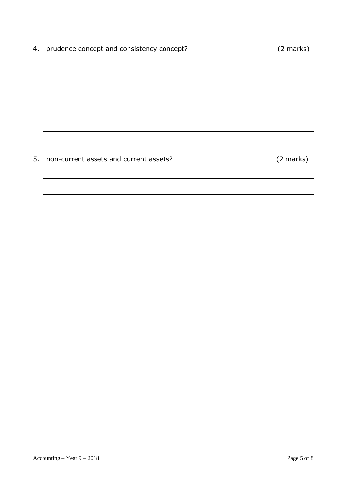| 4. prudence concept and consistency concept? | (2 marks) |
|----------------------------------------------|-----------|
|                                              |           |
|                                              |           |
|                                              |           |
|                                              |           |
|                                              |           |
| 5. non-current assets and current assets?    | (2 marks) |
|                                              |           |
|                                              |           |
|                                              |           |
|                                              |           |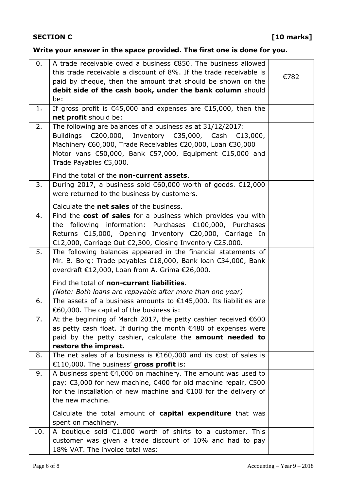## **Write your answer in the space provided. The first one is done for you.**

| 0.  | A trade receivable owed a business €850. The business allowed                            |      |
|-----|------------------------------------------------------------------------------------------|------|
|     | this trade receivable a discount of 8%. If the trade receivable is                       | €782 |
|     | paid by cheque, then the amount that should be shown on the                              |      |
|     | debit side of the cash book, under the bank column should                                |      |
| 1.  | be:<br>If gross profit is $\epsilon$ 45,000 and expenses are $\epsilon$ 15,000, then the |      |
|     | net profit should be:                                                                    |      |
| 2.  | The following are balances of a business as at 31/12/2017:                               |      |
|     | Buildings €200,000, Inventory €35,000, Cash €13,000,                                     |      |
|     | Machinery €60,000, Trade Receivables €20,000, Loan €30,000                               |      |
|     | Motor vans €50,000, Bank €57,000, Equipment €15,000 and                                  |      |
|     | Trade Payables €5,000.                                                                   |      |
|     |                                                                                          |      |
|     | Find the total of the non-current assets.                                                |      |
| 3.  | During 2017, a business sold €60,000 worth of goods. €12,000                             |      |
|     | were returned to the business by customers.                                              |      |
|     | Calculate the net sales of the business.                                                 |      |
| 4.  | Find the cost of sales for a business which provides you with                            |      |
|     | the following information: Purchases €100,000, Purchases                                 |      |
|     | Returns €15,000, Opening Inventory €20,000, Carriage In                                  |      |
|     | €12,000, Carriage Out €2,300, Closing Inventory €25,000.                                 |      |
| 5.  | The following balances appeared in the financial statements of                           |      |
|     | Mr. B. Borg: Trade payables €18,000, Bank loan €34,000, Bank                             |      |
|     | overdraft €12,000, Loan from A. Grima €26,000.                                           |      |
|     | Find the total of non-current liabilities.                                               |      |
|     | (Note: Both loans are repayable after more than one year)                                |      |
| 6.  | The assets of a business amounts to $£145,000$ . Its liabilities are                     |      |
|     | €60,000. The capital of the business is:                                                 |      |
| 7.  | At the beginning of March 2017, the petty cashier received €600                          |      |
|     | as petty cash float. If during the month $\epsilon$ 480 of expenses were                 |      |
|     | paid by the petty cashier, calculate the <b>amount needed to</b>                         |      |
|     | restore the imprest.                                                                     |      |
| 8.  | The net sales of a business is $£160,000$ and its cost of sales is                       |      |
|     | €110,000. The business' gross profit is:                                                 |      |
| 9.  | A business spent $\epsilon$ 4,000 on machinery. The amount was used to                   |      |
|     | pay: €3,000 for new machine, €400 for old machine repair, €500                           |      |
|     | for the installation of new machine and $E100$ for the delivery of                       |      |
|     | the new machine.                                                                         |      |
|     | Calculate the total amount of capital expenditure that was                               |      |
|     | spent on machinery.                                                                      |      |
| 10. | A boutique sold $E1,000$ worth of shirts to a customer. This                             |      |
|     | customer was given a trade discount of 10% and had to pay                                |      |
|     | 18% VAT. The invoice total was:                                                          |      |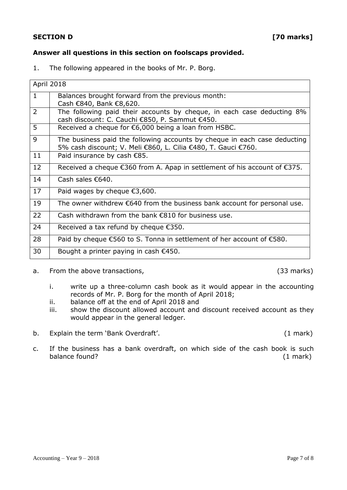#### **SECTION D** [70 marks]

### **Answer all questions in this section on foolscaps provided.**

1. The following appeared in the books of Mr. P. Borg.

| April 2018     |                                                                                                                                            |
|----------------|--------------------------------------------------------------------------------------------------------------------------------------------|
| $\mathbf{1}$   | Balances brought forward from the previous month:<br>Cash €840, Bank €8,620.                                                               |
| $\overline{2}$ | The following paid their accounts by cheque, in each case deducting 8%<br>cash discount: C. Cauchi €850, P. Sammut €450.                   |
| 5              | Received a cheque for €6,000 being a loan from HSBC.                                                                                       |
| 9              | The business paid the following accounts by cheque in each case deducting<br>5% cash discount; V. Meli €860, L. Cilia €480, T. Gauci €760. |
| 11             | Paid insurance by cash €85.                                                                                                                |
| 12             | Received a cheque €360 from A. Apap in settlement of his account of €375.                                                                  |
| 14             | Cash sales €640.                                                                                                                           |
| 17             | Paid wages by cheque $\epsilon$ 3,600.                                                                                                     |
| 19             | The owner withdrew $\epsilon$ 640 from the business bank account for personal use.                                                         |
| 22             | Cash withdrawn from the bank $\epsilon$ 810 for business use.                                                                              |
| 24             | Received a tax refund by cheque $\epsilon$ 350.                                                                                            |
| 28             | Paid by cheque €560 to S. Tonna in settlement of her account of €580.                                                                      |
| 30             | Bought a printer paying in cash $\epsilon$ 450.                                                                                            |

a. From the above transactions, the same state of the state (33 marks)

- i. write up a three-column cash book as it would appear in the accounting records of Mr. P. Borg for the month of April 2018;
- ii. balance off at the end of April 2018 and
- iii. show the discount allowed account and discount received account as they would appear in the general ledger.
- b. Explain the term 'Bank Overdraft'. (1 mark)

c. If the business has a bank overdraft, on which side of the cash book is such balance found? (1 mark)